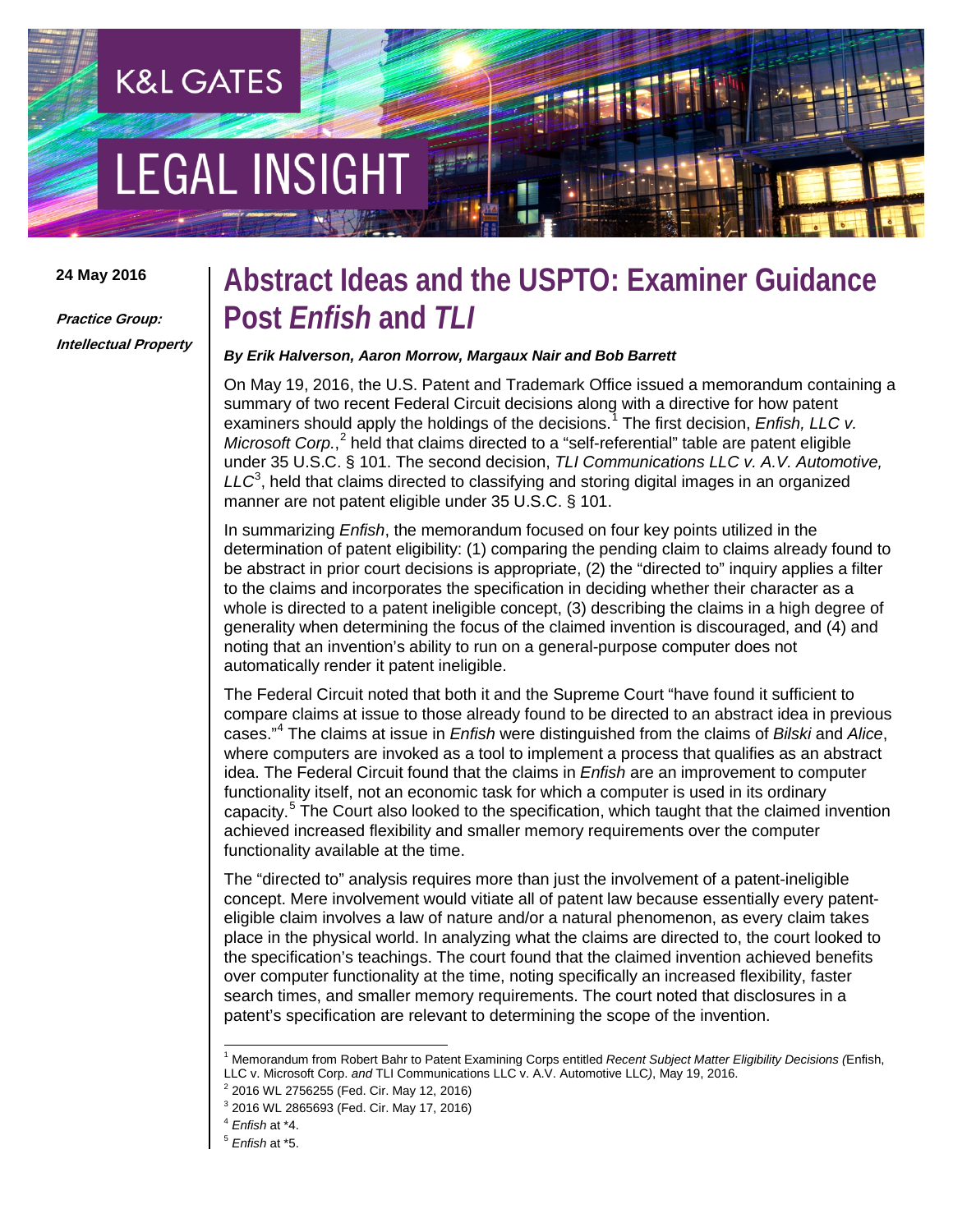# **EGAL INSIGHT**

**K&L GATES** 

### **24 May 2016**

**Practice Group: Intellectual Property**

# **Abstract Ideas and the USPTO: Examiner Guidance Post** *Enfish* **and** *TLI*

## *By Erik Halverson, Aaron Morrow, Margaux Nair and Bob Barrett*

On May 19, 2016, the U.S. Patent and Trademark Office issued a memorandum containing a summary of two recent Federal Circuit decisions along with a directive for how patent examiners should apply the holdings of the decisions.<sup>[1](#page-0-0)</sup> The first decision, *Enfish, LLC v. Microsoft Corp.*, [2](#page-0-1) held that claims directed to a "self-referential" table are patent eligible under 35 U.S.C. § 101. The second decision, *TLI Communications LLC v. A.V. Automotive, LLC*[3](#page-0-2) , held that claims directed to classifying and storing digital images in an organized manner are not patent eligible under 35 U.S.C. § 101.

In summarizing *Enfish*, the memorandum focused on four key points utilized in the determination of patent eligibility: (1) comparing the pending claim to claims already found to be abstract in prior court decisions is appropriate, (2) the "directed to" inquiry applies a filter to the claims and incorporates the specification in deciding whether their character as a whole is directed to a patent ineligible concept, (3) describing the claims in a high degree of generality when determining the focus of the claimed invention is discouraged, and (4) and noting that an invention's ability to run on a general-purpose computer does not automatically render it patent ineligible.

The Federal Circuit noted that both it and the Supreme Court "have found it sufficient to compare claims at issue to those already found to be directed to an abstract idea in previous cases."[4](#page-0-3) The claims at issue in *Enfish* were distinguished from the claims of *Bilski* and *Alice*, where computers are invoked as a tool to implement a process that qualifies as an abstract idea. The Federal Circuit found that the claims in *Enfish* are an improvement to computer functionality itself, not an economic task for which a computer is used in its ordinary capacity.<sup>[5](#page-0-4)</sup> The Court also looked to the specification, which taught that the claimed invention achieved increased flexibility and smaller memory requirements over the computer functionality available at the time.

The "directed to" analysis requires more than just the involvement of a patent-ineligible concept. Mere involvement would vitiate all of patent law because essentially every patenteligible claim involves a law of nature and/or a natural phenomenon, as every claim takes place in the physical world. In analyzing what the claims are directed to, the court looked to the specification's teachings. The court found that the claimed invention achieved benefits over computer functionality at the time, noting specifically an increased flexibility, faster search times, and smaller memory requirements. The court noted that disclosures in a patent's specification are relevant to determining the scope of the invention.

<span id="page-0-0"></span> <sup>1</sup> Memorandum from Robert Bahr to Patent Examining Corps entitled *Recent Subject Matter Eligibility Decisions (*Enfish, LLC v. Microsoft Corp. *and* TLI Communications LLC v. A.V. Automotive LLC*)*, May 19, 2016.

<span id="page-0-1"></span><sup>&</sup>lt;sup>2</sup> 2016 WL 2756255 (Fed. Cir. May 12, 2016)

<span id="page-0-2"></span><sup>3</sup> 2016 WL 2865693 (Fed. Cir. May 17, 2016)

<sup>4</sup> *Enfish* at \*4.

<span id="page-0-4"></span><span id="page-0-3"></span><sup>5</sup> *Enfish* at \*5.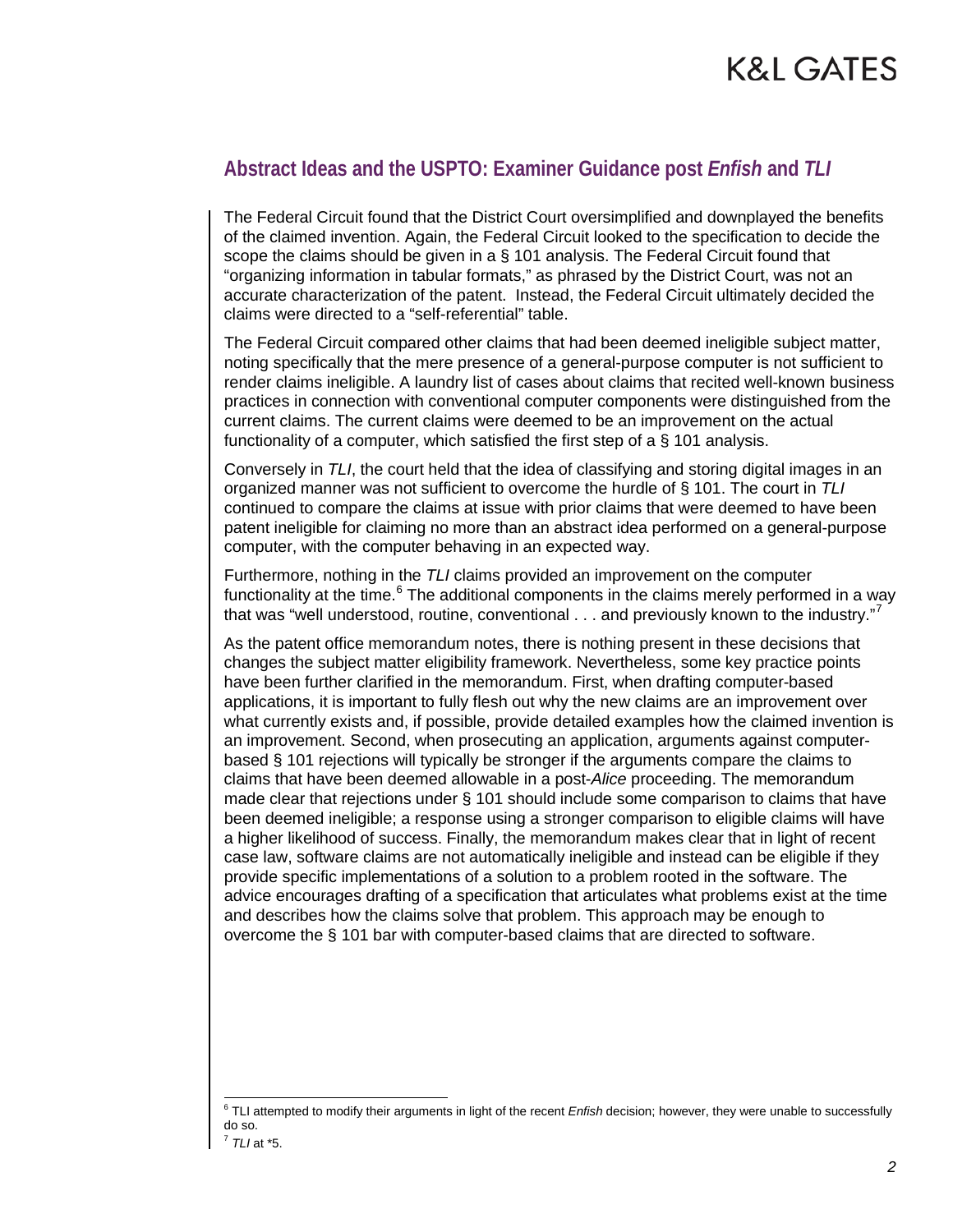# K&L GATES

# **Abstract Ideas and the USPTO: Examiner Guidance post** *Enfish* **and** *TLI*

The Federal Circuit found that the District Court oversimplified and downplayed the benefits of the claimed invention. Again, the Federal Circuit looked to the specification to decide the scope the claims should be given in a § 101 analysis. The Federal Circuit found that "organizing information in tabular formats," as phrased by the District Court, was not an accurate characterization of the patent. Instead, the Federal Circuit ultimately decided the claims were directed to a "self-referential" table.

The Federal Circuit compared other claims that had been deemed ineligible subject matter, noting specifically that the mere presence of a general-purpose computer is not sufficient to render claims ineligible. A laundry list of cases about claims that recited well-known business practices in connection with conventional computer components were distinguished from the current claims. The current claims were deemed to be an improvement on the actual functionality of a computer, which satisfied the first step of a § 101 analysis.

Conversely in *TLI*, the court held that the idea of classifying and storing digital images in an organized manner was not sufficient to overcome the hurdle of § 101. The court in *TLI* continued to compare the claims at issue with prior claims that were deemed to have been patent ineligible for claiming no more than an abstract idea performed on a general-purpose computer, with the computer behaving in an expected way.

Furthermore, nothing in the *TLI* claims provided an improvement on the computer functionality at the time.<sup>[6](#page-1-0)</sup> The additional components in the claims merely performed in a way that was "well understood, routine, conventional . . . and previously known to the industry."<sup>[7](#page-1-1)</sup>

As the patent office memorandum notes, there is nothing present in these decisions that changes the subject matter eligibility framework. Nevertheless, some key practice points have been further clarified in the memorandum. First, when drafting computer-based applications, it is important to fully flesh out why the new claims are an improvement over what currently exists and, if possible, provide detailed examples how the claimed invention is an improvement. Second, when prosecuting an application, arguments against computerbased § 101 rejections will typically be stronger if the arguments compare the claims to claims that have been deemed allowable in a post-*Alice* proceeding. The memorandum made clear that rejections under § 101 should include some comparison to claims that have been deemed ineligible; a response using a stronger comparison to eligible claims will have a higher likelihood of success. Finally, the memorandum makes clear that in light of recent case law, software claims are not automatically ineligible and instead can be eligible if they provide specific implementations of a solution to a problem rooted in the software. The advice encourages drafting of a specification that articulates what problems exist at the time and describes how the claims solve that problem. This approach may be enough to overcome the § 101 bar with computer-based claims that are directed to software.

<span id="page-1-0"></span> <sup>6</sup> TLI attempted to modify their arguments in light of the recent *Enfish* decision; however, they were unable to successfully do so.

<span id="page-1-1"></span> $^7$  TLI at  $*5$ .